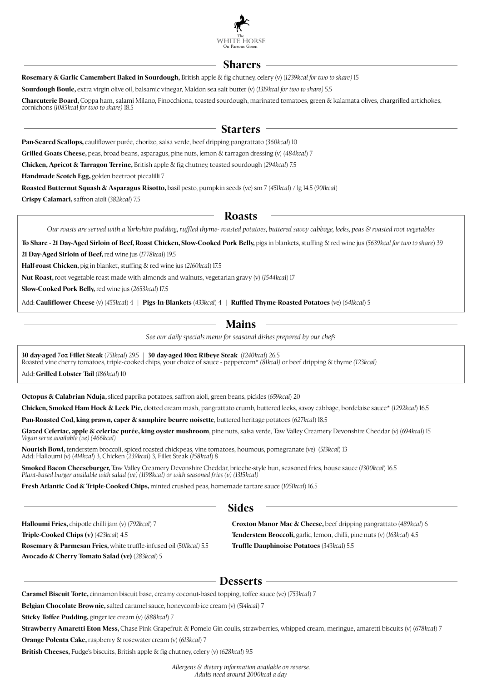

### **Sharers**

**Rosemary & Garlic Camembert Baked in Sourdough,** British apple & fig chutney, celery (v) (1239kcal for two to share) 15

**Sourdough Boule,** extra virgin olive oil, balsamic vinegar, Maldon sea salt butter (v) (*1319kcal for two to share)* 5.5

**Charcuterie Board,** Coppa ham, salami Milano, Finocchiona, toasted sourdough, marinated tomatoes, green & kalamata olives, chargrilled ar tichokes, cornichons (*1085kcal for two to share)* 18.5

### **Starters**

**Pan-Seared Scallops,** cauliflower purée, chorizo, salsa verde, beef dripping pangrattato (*360kcal*) 10

**Grilled Goats Cheese,** peas, broad beans, asparagus, pine nuts, lemon & tarragon dressing (v) (*484kcal*) 7

**Chicken, Apricot & Tarragon Terrine, British apple & fig chutney, toasted sourdough (294kcal) 7.5** 

**Handmade Scotch Egg,** golden beetroot piccalilli 7

**Roasted Butternut Squash & Asparagus Risotto,** basil pesto, pumpkin seeds (ve) sm 7 (*451kcal*) / lg 14.5 (*901kcal*)

**Crispy Calamari,** saffron aioli (*382kcal*) 7.5

### **Roasts**

*Our roasts are served with a Yorkshire pudding, ruffled thyme- roasted potatoes, buttered savoy cabbage, leeks, peas & roasted root vegetables*

To Share - 21 Day-Aged Sirloin of Beef, Roast Chicken, Slow-Cooked Pork Belly, pigs in blankets, stuffing & red wine jus (5639kcal for two to share) 39

**21 Day-Aged Sirloin of Beef,** red wine jus (*1778kcal*) 19.5

**Half-roast Chicken,** pig in blanket, stuffing & red wine jus (2160kcal) 17.5

**Nut Roast,** root vegetable roast made with almonds and walnuts, vegetarian grav y (v) (*1544kcal*) 17

**Slow-Cooked Pork Belly,** red wine jus (*2653kcal*) 17.5

Add: **Cauliflower Cheese** (v) (*455kcal*) 4 | **Pigs-In-Blankets** (*433kcal*) 4 | **Ruffled Thyme-Roasted Potatoes** (ve) (*641kcal*) 5

# **Mains**

*See our daily specials menu for seasonal dishes prepared by our chefs*

**30 day-aged 7oz Fillet Steak** (*751kcal*) 29.5 | **30 day-aged 10oz Ribeye Steak** (*1240kcal*) 26.5 Roasted vine cherry tomatoes, triple-cooked chips, your choice of sauce - peppercorn\* *(81kcal)* or beef dripping & thyme *(123kcal)*

Add: **Grilled Lobster Tail** (*186kcal*) 10

j

**Octopus & Calabrian Nduja,** sliced paprika potatoes, saffron aioli, green beans, pickles (659kcal) 20

**Chicken, Smoked Ham Hock & Leek Pie,** clotted cream mash, pangrattato crumb, buttered leeks, savoy cabbage, bordelaise sauce\* (*1292kcal*) 16.5

**Pan-Roasted Cod, king prawn, caper & samphire beurre noisette**, buttered heritage potatoes (*627kcal*) 18.5

**Glazed Celeriac, apple & celeriac purée, king oyster mushroom**, pine nuts, salsa verde, Taw Valley Creamery Devonshire Cheddar (v) (*694kcal*) 15 *Vegan serve available (ve) (466kcal)*

**Nourish Bowl,** tenderstem broccoli, spiced roasted chickpeas, vine tomatoes, houmous, pomegranate (ve) (*513kcal*) 13 Add: Halloumi (v) (*414kcal*) 3, Chicken (*239kcal*) 3, Fillet Steak (*158kcal*) 8

**Smoked Bacon Cheeseburger,** Taw Valley Creamery Devonshire Cheddar, brioche-style bun, seasoned fries, house sauce (1300kcal) 16.5 *Plant-based burger available with salad (ve) (1198kcal) or with seasoned fries (v) (1315kcal)*

**Fresh Atlantic Cod & Triple-Cooked Chips,** minted crushed peas, homemade tartare sauce (*1051kcal*) 16.5

## **Sides**

**Halloumi Fries,** chipotle chilli jam (v) (*792kcal*) 7 **Triple-Cooked Chips (v)** (*423kcal*) 4.5 **Rosemary & Parmesan Fries,** white truffle-infused oil (5*01kcal)* 5.5 **Avocado & Cherry Tomato Salad (ve)** (*283kcal*) 5

**Croxton Manor Mac & Cheese,** beef dripping pangrattato (*489kcal*) 6 **Tenderstem Broccoli,** garlic, lemon, chilli, pine nuts (v) (*163kcal*) 4.5 **Truffle Dauphinoise Potatoes** (*343kcal*) 5.5

## **Desserts**

**Caramel Biscuit Torte,** cinnamon biscuit base, creamy coconut-based topping, toffee sauce (ve) (*753kcal*) 7

**Belgian Chocolate Brownie,** salted caramel sauce, honeycomb ice cream (v) (*514kcal*) 7

**Sticky Toffee Pudding,** ginger ice cream (v) (*888kcal*) 7

**Strawberry Amaretti Eton Mess,** Chase Pink Grapefruit & Pomelo Gin coulis, strawberries, whipped cream, meringue, amaretti biscuits (v) (678kcal) 7

**Orange Polenta Cake,** raspberry & rosewater cream (v) (*613kcal*) 7

**British Cheeses, Fudge's biscuits, British apple & fig chutney, celery (v) (628kcal) 9.5** 

*Allergens & dietary information available on reverse. Adults need around 2000kcal a day*